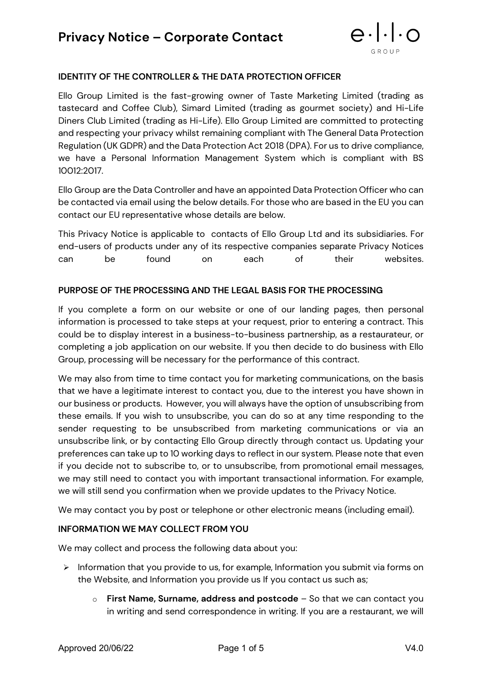

## **IDENTITY OF THE CONTROLLER & THE DATA PROTECTION OFFICER**

Ello Group Limited is the fast-growing owner of Taste Marketing Limited (trading as tastecard and Coffee Club), Simard Limited (trading as gourmet society) and Hi-Life Diners Club Limited (trading as Hi-Life). Ello Group Limited are committed to protecting and respecting your privacy whilst remaining compliant with The General Data Protection Regulation (UK GDPR) and the Data Protection Act 2018 (DPA). For us to drive compliance, we have a Personal Information Management System which is compliant with BS 10012:2017.

Ello Group are the Data Controller and have an appointed Data Protection Officer who can be contacted via email using the below details. For those who are based in the EU you can contact our EU representative whose details are below.

This Privacy Notice is applicable to contacts of Ello Group Ltd and its subsidiaries. For end-users of products under any of its respective companies separate Privacy Notices can be found on each of their websites.

#### **PURPOSE OF THE PROCESSING AND THE LEGAL BASIS FOR THE PROCESSING**

If you complete a form on our website or one of our landing pages, then personal information is processed to take steps at your request, prior to entering a contract. This could be to display interest in a business-to-business partnership, as a restaurateur, or completing a job application on our website. If you then decide to do business with Ello Group, processing will be necessary for the performance of this contract.

We may also from time to time contact you for marketing communications, on the basis that we have a legitimate interest to contact you, due to the interest you have shown in our business or products. However, you will always have the option of unsubscribing from these emails. If you wish to unsubscribe, you can do so at any time responding to the sender requesting to be unsubscribed from marketing communications or via an unsubscribe link, or by contacting Ello Group directly through contact us. Updating your preferences can take up to 10 working days to reflect in our system. Please note that even if you decide not to subscribe to, or to unsubscribe, from promotional email messages, we may still need to contact you with important transactional information. For example, we will still send you confirmation when we provide updates to the Privacy Notice.

We may contact you by post or telephone or other electronic means (including email).

#### **INFORMATION WE MAY COLLECT FROM YOU**

We may collect and process the following data about you:

- $\triangleright$  Information that you provide to us, for example, Information you submit via forms on the Website, and Information you provide us If you contact us such as;
	- o **First Name, Surname, address and postcode** So that we can contact you in writing and send correspondence in writing. If you are a restaurant, we will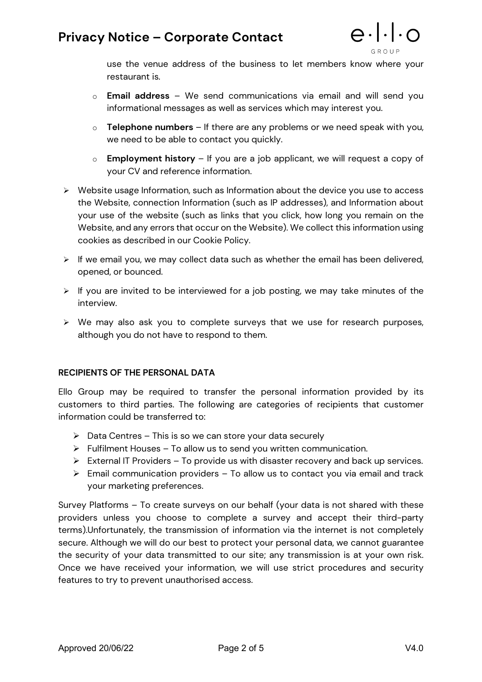## **Privacy Notice – Corporate Contact**



use the venue address of the business to let members know where your restaurant is.

- o **Email address** We send communications via email and will send you informational messages as well as services which may interest you.
- o **Telephone numbers**  If there are any problems or we need speak with you, we need to be able to contact you quickly.
- o **Employment history**  If you are a job applicant, we will request a copy of your CV and reference information.
- $\triangleright$  Website usage Information, such as Information about the device you use to access the Website, connection Information (such as IP addresses), and Information about your use of the website (such as links that you click, how long you remain on the Website, and any errors that occur on the Website). We collect this information using cookies as described in our Cookie Policy.
- $\triangleright$  If we email you, we may collect data such as whether the email has been delivered, opened, or bounced.
- $\triangleright$  If you are invited to be interviewed for a job posting, we may take minutes of the interview.
- $\triangleright$  We may also ask you to complete surveys that we use for research purposes, although you do not have to respond to them.

#### **RECIPIENTS OF THE PERSONAL DATA**

Ello Group may be required to transfer the personal information provided by its customers to third parties. The following are categories of recipients that customer information could be transferred to:

- $\triangleright$  Data Centres This is so we can store your data securely
- $\triangleright$  Fulfilment Houses To allow us to send you written communication.
- $\triangleright$  External IT Providers To provide us with disaster recovery and back up services.
- $\triangleright$  Email communication providers To allow us to contact you via email and track your marketing preferences.

Survey Platforms – To create surveys on our behalf (your data is not shared with these providers unless you choose to complete a survey and accept their third-party terms).Unfortunately, the transmission of information via the internet is not completely secure. Although we will do our best to protect your personal data, we cannot guarantee the security of your data transmitted to our site; any transmission is at your own risk. Once we have received your information, we will use strict procedures and security features to try to prevent unauthorised access.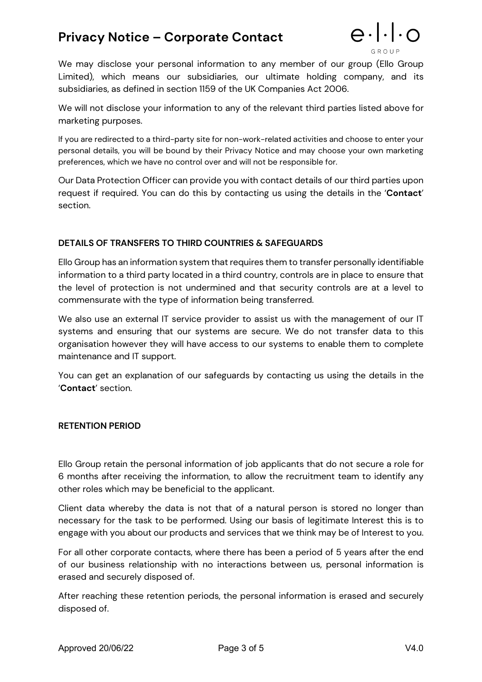## **Privacy Notice – Corporate Contact**



We may disclose your personal information to any member of our group (Ello Group Limited), which means our subsidiaries, our ultimate holding company, and its subsidiaries, as defined in section 1159 of the UK Companies Act 2006.

We will not disclose your information to any of the relevant third parties listed above for marketing purposes.

If you are redirected to a third-party site for non-work-related activities and choose to enter your personal details, you will be bound by their Privacy Notice and may choose your own marketing preferences, which we have no control over and will not be responsible for.

Our Data Protection Officer can provide you with contact details of our third parties upon request if required. You can do this by contacting us using the details in the '**Contact**' section.

### **DETAILS OF TRANSFERS TO THIRD COUNTRIES & SAFEGUARDS**

Ello Group has an information system that requires them to transfer personally identifiable information to a third party located in a third country, controls are in place to ensure that the level of protection is not undermined and that security controls are at a level to commensurate with the type of information being transferred.

We also use an external IT service provider to assist us with the management of our IT systems and ensuring that our systems are secure. We do not transfer data to this organisation however they will have access to our systems to enable them to complete maintenance and IT support.

You can get an explanation of our safeguards by contacting us using the details in the '**Contact**' section.

### **RETENTION PERIOD**

Ello Group retain the personal information of job applicants that do not secure a role for 6 months after receiving the information, to allow the recruitment team to identify any other roles which may be beneficial to the applicant.

Client data whereby the data is not that of a natural person is stored no longer than necessary for the task to be performed. Using our basis of legitimate Interest this is to engage with you about our products and services that we think may be of Interest to you.

For all other corporate contacts, where there has been a period of 5 years after the end of our business relationship with no interactions between us, personal information is erased and securely disposed of.

After reaching these retention periods, the personal information is erased and securely disposed of.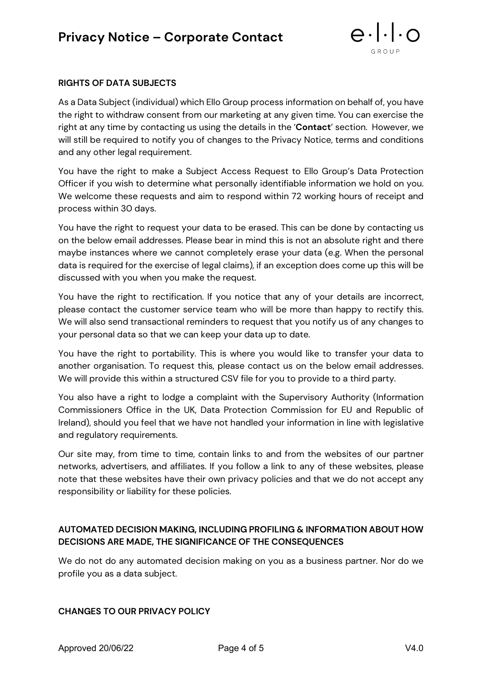

#### **RIGHTS OF DATA SUBJECTS**

As a Data Subject (individual) which Ello Group process information on behalf of, you have the right to withdraw consent from our marketing at any given time. You can exercise the right at any time by contacting us using the details in the '**Contact**' section. However, we will still be required to notify you of changes to the Privacy Notice, terms and conditions and any other legal requirement.

You have the right to make a Subject Access Request to Ello Group's Data Protection Officer if you wish to determine what personally identifiable information we hold on you. We welcome these requests and aim to respond within 72 working hours of receipt and process within 30 days.

You have the right to request your data to be erased. This can be done by contacting [us](mailto:DPO@diningclubgroup.co.uk) on the below email addresses. Please bear in mind this is not an absolute right and there maybe instances where we cannot completely erase your data (e.g. When the personal data is required for the exercise of legal claims), if an exception does come up this will be discussed with you when you make the request.

You have the right to rectification. If you notice that any of your details are incorrect, please contact the customer service team who will be more than happy to rectify this. We will also send transactional reminders to request that you notify us of any changes to your personal data so that we can keep your data up to date.

You have the right to portability. This is where you would like to transfer your data to another organisation. To request this, please contact [us](mailto:DPO@diningclubgroup.co.uk) on the below email addresses. We will provide this within a structured CSV file for you to provide to a third party.

You also have a right to lodge a complaint with the Supervisory Authority (Information Commissioners Office in the UK, Data Protection Commission for EU and Republic of Ireland), should you feel that we have not handled your information in line with legislative and regulatory requirements.

Our site may, from time to time, contain links to and from the websites of our partner networks, advertisers, and affiliates. If you follow a link to any of these websites, please note that these websites have their own privacy policies and that we do not accept any responsibility or liability for these policies.

### **AUTOMATED DECISION MAKING, INCLUDING PROFILING & INFORMATION ABOUT HOW DECISIONS ARE MADE, THE SIGNIFICANCE OF THE CONSEQUENCES**

We do not do any automated decision making on you as a business partner. Nor do we profile you as a data subject.

### **CHANGES TO OUR PRIVACY POLICY**